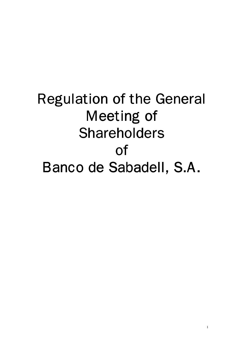# Regulation of the General Meeting of Shareholders of Banco de Sabadell, S.A.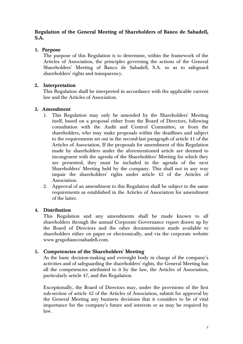## **Regulation of the General Meeting of Shareholders of Banco de Sabadell, S.A.**

## **1. Purpose**

The purpose of this Regulation is to determine, within the framework of the Articles of Association, the principles governing the actions of the General Shareholders' Meeting of Banco de Sabadell, S.A. so as to safeguard shareholders' rights and transparency.

## **2. Interpretation**

This Regulation shall be interpreted in accordance with the applicable current law and the Articles of Association.

## **3. Amendment**

- 1. This Regulation may only be amended by the Shareholders' Meeting itself, based on a proposal either from the Board of Directors, following consultation with the Audit and Control Committee, or from the shareholders, who may make proposals within the deadlines and subject to the requirements set out in the second-last paragraph of article 41 of the Articles of Association. If the proposals for amendment of this Regulation made by shareholders under the aforementioned article are deemed to incongruent with the agenda of the Shareholders' Meeting for which they are presented, they must be included in the agenda of the next Shareholders' Meeting held by the company. This shall not in any way impair the shareholders' rights under article 42 of the Articles of Association.
- 2. Approval of an amendment to this Regulation shall be subject to the same requirements as established in the Articles of Association for amendment of the latter.

## **4. Distribution**

This Regulation and any amendments shall be made known to all shareholders through the annual Corporate Governance report drawn up by the Board of Directors and the other documentation made available to shareholders either on paper or electronically, and via the corporate website www.grupobancosabadell.com.

## **5. Competencies of the Shareholders' Meeting**

As the basic decision-making and oversight body in charge of the company's activities and of safeguarding the shareholders' rights, the General Meeting has all the competencies attributed to it by the law, the Articles of Association, particularly article 47, and this Regulation.

Exceptionally, the Board of Directors may, under the provisions of the first sub-section of article 42 of the Articles of Association, submit for approval by the General Meeting any business decisions that it considers to be of vital importance for the company's future and interests or as may be required by law.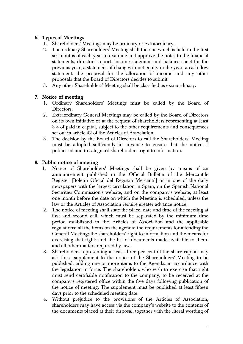## **6. Types of Meetings**

- 1. Shareholders' Meetings may be ordinary or extraordinary.
- 2. The ordinary Shareholders' Meeting shall the one which is held in the first six months of each year to examine and approve the notes to the financial statements, directors' report, income statement and balance sheet for the previous year, a statement of changes in net equity in the year, a cash flow statement, the proposal for the allocation of income and any other proposals that the Board of Directors decides to submit.
- 3. Any other Shareholders' Meeting shall be classified as extraordinary.

#### **7. Notice of meeting**

- 1. Ordinary Shareholders' Meetings must be called by the Board of Directors.
- 2. Extraordinary General Meetings may be called by the Board of Directors on its own initiative or at the request of shareholders representing at least 3% of paid-in capital, subject to the other requirements and consequences set out in article 42 of the Articles of Association.
- 3. The decision by the Board of Directors to call the Shareholders' Meeting must be adopted sufficiently in advance to ensure that the notice is publicised and to safeguard shareholders' right to information.

#### **8. Public notice of meeting**

- 1. Notice of Shareholders' Meetings shall be given by means of an announcement published in the Official Bulletin of the Mercantile Register [Boletín Oficial del Registro Mercantil] or in one of the daily newspapers with the largest circulation in Spain, on the Spanish National Securities Commission's website, and on the company's website, at least one month before the date on which the Meeting is scheduled, unless the law or the Articles of Association require greater advance notice.
- 2. The notice of meeting shall state the place, date and time of the meeting at first and second call, which must be separated by the minimum time period established in the Articles of Association and the applicable regulations; all the items on the agenda; the requirements for attending the General Meeting; the shareholders' right to information and the means for exercising that right; and the list of documents made available to them, and all other matters required by law.
- 3. Shareholders representing at least three per cent of the share capital may ask for a supplement to the notice of the Shareholders' Meeting to be published, adding one or more items to the Agenda, in accordance with the legislation in force. The shareholders who wish to exercise that right must send certifiable notification to the company, to be received at the company's registered office within the five days following publication of the notice of meeting. The supplement must be published at least fifteen days prior to the scheduled meeting date.
- 4. Without prejudice to the provisions of the Articles of Association, shareholders may have access via the company's website to the contents of the documents placed at their disposal, together with the literal wording of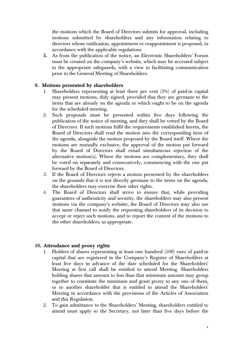the motions which the Board of Directors submits for approval, including motions submitted by shareholders and any information relating to directors whose ratification, appointment or reappointment is proposed, in accordance with the applicable regulations.

**5.** As from the publication of the notice, an Electronic Shareholders' Forum must be created on the company's website, which may be accessed subject to the appropriate safeguards, with a view to facilitating communication prior to the General Meeting of Shareholders.

## **9. Motions presented by shareholders**

- 1. Shareholders representing at least three per cent (3%) of paid-in capital may present motions, duly signed, provided that they are germane to the items that are already on the agenda or which ought to be on the agenda for the scheduled meeting.
- 2. Such proposals must be presented within five days following the publication of the notice of meeting, and they shall be vetted by the Board of Directors. If such motions fulfil the requirements established herein, the Board of Directors shall read the motion into the corresponding item of the agenda, alongside the motion proposed by the Board itself. Where the motions are mutually exclusive, the approval of the motion put forward by the Board of Directors shall entail simultaneous rejection of the alternative motion(s). Where the motions are complementary, they shall be voted on separately and consecutively, commencing with the one put forward by the Board of Directors.
- 3. If the Board of Directors rejects a motion presented by the shareholders on the grounds that it is not directly germane to the items on the agenda, the shareholders may exercise their other rights.
- 4. The Board of Directors shall strive to ensure that, while providing guarantees of authenticity and security, the shareholders may also present motions via the company's website; the Board of Directors may also use that same channel to notify the requesting shareholders of its decision to accept or reject such motions, and to report the content of the motions to the other shareholders, as appropriate.

## **10. Attendance and proxy rights**

- 1. Holders of shares representing at least one hundred (100) euro of paid-in capital that are registered in the Company's Register of Shareholders at least five days in advance of the date scheduled for the Shareholders' Meeting at first call shall be entitled to attend Meeting. Shareholders holding shares that amount to less than that minimum amount may group together to constitute the minimum and grant proxy to any one of them, or to another shareholder that is entitled to attend the Shareholders' Meeting in accordance with the provisions of the Articles of Association and this Regulation.
- 2. To gain admittance to the Shareholders' Meeting, shareholders entitled to attend must apply to the Secretary, not later than five days before the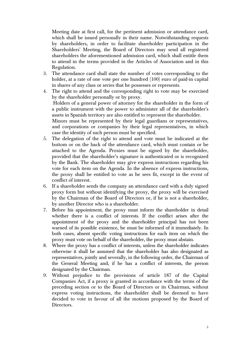Meeting date at first call, for the pertinent admission or attendance card, which shall be issued personally in their name. Notwithstanding requests by shareholders, in order to facilitate shareholder participation in the Shareholders' Meeting, the Board of Directors may send all registered shareholders the aforementioned admission card, which shall entitle them to attend in the terms provided in the Articles of Association and in this Regulation.

- 3. The attendance card shall state the number of votes corresponding to the holder, at a rate of one vote per one hundred (100) euro of paid-in capital in shares of any class or series that he possesses or represents.
- 4. The right to attend and the corresponding right to vote may be exercised by the shareholder personally or by proxy. Holders of a general power of attorney for the shareholder in the form of a public instrument with the power to administer all of the shareholder's assets in Spanish territory are also entitled to represent the shareholder. Minors must be represented by their legal guardians or representatives, and corporations or companies by their legal representatives, in which
- case the identity of such person must be specified. 5. The delegation of the right to attend and vote must be indicated at the bottom or on the back of the attendance card, which must contain or be attached to the Agenda. Proxies must be signed by the shareholder, provided that the shareholder's signature is authenticated or is recognized by the Bank. The shareholder may give express instructions regarding his vote for each item on the Agenda. In the absence of express instructions, the proxy shall be entitled to vote as he sees fit, except in the event of conflict of interest.
- 6. If a shareholder sends the company an attendance card with a duly signed proxy form but without identifying the proxy, the proxy will be exercised by the Chairman of the Board of Directors or, if he is not a shareholder, by another Director who is a shareholder.
- 7. Before his appointment, the proxy must inform the shareholder in detail whether there is a conflict of interests. If the conflict arises after the appointment of the proxy and the shareholder principal has not been warned of its possible existence, he must be informed of it immediately. In both cases, absent specific voting instructions for each item on which the proxy must vote on behalf of the shareholder, the proxy must abstain.
- 8. Where the proxy has a conflict of interests, unless the shareholder indicates otherwise it shall be assumed that the shareholder has also designated as representatives, jointly and severally, in the following order, the Chairman of the General Meeting and, if he has a conflict of interests, the person designated by the Chairman.
- 9. Without prejudice to the provisions of article 187 of the Capital Companies Act, if a proxy is granted in accordance with the terms of the preceding section or to the Board of Directors or its Chairman, without express voting instructions, the shareholder shall be deemed to have decided to vote in favour of all the motions proposed by the Board of Directors.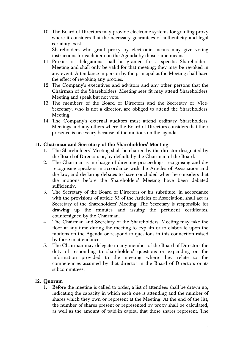10. The Board of Directors may provide electronic systems for granting proxy where it considers that the necessary guarantees of authenticity and legal certainty exist.

 Shareholders who grant proxy by electronic means may give voting instructions for each item on the Agenda by those same means.

- 11. Proxies or delegations shall be granted for a specific Shareholders' Meeting and shall only be valid for that meeting; they may be revoked in any event. Attendance in person by the principal at the Meeting shall have the effect of revoking any proxies.
- 12. The Company's executives and advisors and any other persons that the Chairman of the Shareholders' Meeting sees fit may attend Shareholders' Meeting and speak but not vote.
- 13. The members of the Board of Directors and the Secretary or Vice-Secretary, who is not a director, are obliged to attend the Shareholders' Meeting.
- 14. The Company's external auditors must attend ordinary Shareholders' Meetings and any others where the Board of Directors considers that their presence is necessary because of the motions on the agenda.

## **11. Chairman and Secretary of the Shareholders' Meeting**

- 1. The Shareholders' Meeting shall be chaired by the director designated by the Board of Directors or, by default, by the Chairman of the Board.
- 2. The Chairman is in charge of directing proceedings, recognising and derecognising speakers in accordance with the Articles of Association and the law, and declaring debates to have concluded when he considers that the motions before the Shareholders' Meeting have been debated sufficiently.
- 3. The Secretary of the Board of Directors or his substitute, in accordance with the provisions of article 55 of the Articles of Association, shall act as Secretary of the Shareholders' Meeting. The Secretary is responsible for drawing up the minutes and issuing the pertinent certificates, countersigned by the Chairman.
- 4. The Chairman and Secretary of the Shareholders' Meeting may take the floor at any time during the meeting to explain or to elaborate upon the motions on the Agenda or respond to questions in this connection raised by those in attendance.
- 5. The Chairman may delegate in any member of the Board of Directors the duty of responding to shareholders' questions or expanding on the information provided to the meeting where they relate to the competencies assumed by that director in the Board of Directors or its subcommittees.

## **12. Quorum**

1. Before the meeting is called to order, a list of attendees shall be drawn up, indicating the capacity in which each one is attending and the number of shares which they own or represent at the Meeting. At the end of the list, the number of shares present or represented by proxy shall be calculated, as well as the amount of paid-in capital that those shares represent. The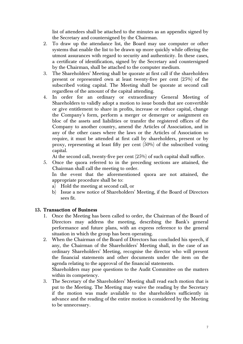list of attendees shall be attached to the minutes as an appendix signed by the Secretary and countersigned by the Chairman.

- 2. To draw up the attendance list, the Board may use computer or other systems that enable the list to be drawn up more quickly while offering the utmost assurances with regard to security and authenticity. In these cases, a certificate of identification, signed by the Secretary and countersigned by the Chairman, shall be attached to the computer medium.
- 3. The Shareholders' Meeting shall be quorate at first call if the shareholders present or represented own at least twenty-five per cent (25%) of the subscribed voting capital. The Meeting shall be quorate at second call regardless of the amount of the capital attending.
- 4. In order for an ordinary or extraordinary General Meeting of Shareholders to validly adopt a motion to issue bonds that are convertible or give entitlement to share in profits, increase or reduce capital, change the Company's form, perform a merger or demerger or assignment en bloc of the assets and liabilities or transfer the registered offices of the Company to another country, amend the Articles of Association, and in any of the other cases where the laws or the Articles of Association so require, it must be attended at first call by shareholders, present or by proxy, representing at least fifty per cent (50%) of the subscribed voting capital.

At the second call, twenty-five per cent (25%) of such capital shall suffice.

5. Once the quora referred to in the preceding sections are attained, the Chairman shall call the meeting to order.

In the event that the aforementioned quora are not attained, the appropriate procedure shall be to:

- a) Hold the meeting at second call, or
- b) Issue a new notice of Shareholders' Meeting, if the Board of Directors sees fit.

## **13. Transaction of Business**

- 1. Once the Meeting has been called to order, the Chairman of the Board of Directors may address the meeting, describing the Bank's general performance and future plans, with an express reference to the general situation in which the group has been operating.
- 2. When the Chairman of the Board of Directors has concluded his speech, if any, the Chairman of the Shareholders' Meeting shall, in the case of an ordinary Shareholders' Meeting, recognise the director who will present the financial statements and other documents under the item on the agenda relating to the approval of the financial statements.

Shareholders may pose questions to the Audit Committee on the matters within its competency.

3. The Secretary of the Shareholders' Meeting shall read each motion that is put to the Meeting. The Meeting may waive the reading by the Secretary if the motion was made available to the shareholders sufficiently in advance and the reading of the entire motion is considered by the Meeting to be unnecessary.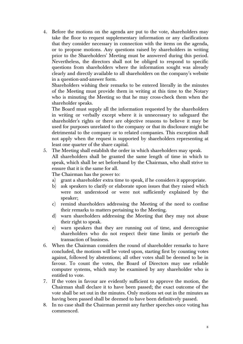4. Before the motions on the agenda are put to the vote, shareholders may take the floor to request supplementary information or any clarifications that they consider necessary in connection with the items on the agenda, or to propose motions. Any questions raised by shareholders in writing prior to the Shareholders' Meeting must be answered during this period. Nevertheless, the directors shall not be obliged to respond to specific questions from shareholders where the information sought was already clearly and directly available to all shareholders on the company's website in a question-and-answer form.

Shareholders wishing their remarks to be entered literally in the minutes of the Meeting must provide them in writing at this time to the Notary who is minuting the Meeting so that he may cross-check them when the shareholder speaks.

The Board must supply all the information requested by the shareholders in writing or verbally except where it is unnecessary to safeguard the shareholder's rights or there are objective reasons to believe it may be used for purposes unrelated to the company or that its disclosure might be detrimental to the company or to related companies. This exception shall not apply when the request is supported by shareholders representing at least one quarter of the share capital.

5. The Meeting shall establish the order in which shareholders may speak.

All shareholders shall be granted the same length of time in which to speak, which shall be set beforehand by the Chairman, who shall strive to ensure that it is the same for all.

The Chairman has the power to:

- a) grant a shareholder extra time to speak, if he considers it appropriate.
- b) ask speakers to clarify or elaborate upon issues that they raised which were not understood or were not sufficiently explained by the speaker;
- c) remind shareholders addressing the Meeting of the need to confine their remarks to matters pertaining to the Meeting.
- d) warn shareholders addressing the Meeting that they may not abuse their right to speak.
- e) warn speakers that they are running out of time, and derecognise shareholders who do not respect their time limits or perturb the transaction of business.
- 6. When the Chairman considers the round of shareholder remarks to have concluded, the motions will be voted upon, starting first by counting votes against, followed by abstentions; all other votes shall be deemed to be in favour. To count the votes, the Board of Directors may use reliable computer systems, which may be examined by any shareholder who is entitled to vote.
- 7. If the votes in favour are evidently sufficient to approve the motion, the Chairman shall declare it to have been passed; the exact outcome of the vote shall be set out in the minutes. Only motions set out in the minutes as having been passed shall be deemed to have been definitively passed.
- 8. In no case shall the Chairman permit any further speeches once voting has commenced.